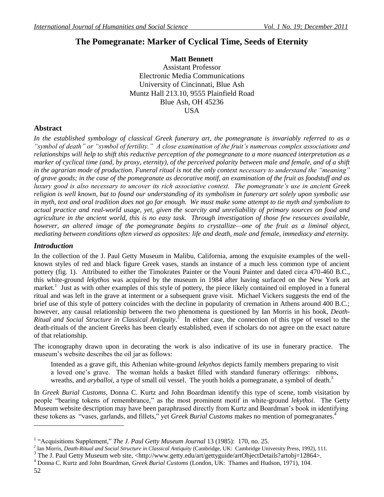# **The Pomegranate: Marker of Cyclical Time, Seeds of Eternity**

**Matt Bennett** Assistant Professor Electronic Media Communications University of Cincinnati, Blue Ash Muntz Hall 213.10, 9555 Plainfield Road Blue Ash, OH 45236 USA

# **Abstract**

*In the established symbology of classical Greek funerary art, the pomegranate is invariably referred to as a "symbol of death" or "symbol of fertility." A close examination of the fruit's numerous complex associations and relationships will help to shift this reductive perception of the pomegranate to a more nuanced interpretation as a marker of cyclical time (and, by proxy, eternity), of the perceived polarity between male and female, and of a shift in the agrarian mode of production. Funeral ritual is not the only context necessary to understand the "meaning" of grave goods; in the case of the pomegranate as decorative motif, an examination of the fruit as foodstuff and as luxury good is also necessary to uncover its rich associative context. The pomegranate's use in ancient Greek religion is well known, but to found our understanding of its symbolism in funerary art solely upon symbolic use*  in myth, text and oral tradition does not go far enough. We must make some attempt to tie myth and symbolism to *actual practice and real-world usage, yet, given the scarcity and unreliability of primary sources on food and agriculture in the ancient world, this is no easy task. Through investigation of those few resources available, however, an altered image of the pomegranate begins to crystallize—one of the fruit as a liminal object, mediating between conditions often viewed as opposites: life and death, male and female, immediacy and eternity.* 

### *Introduction*

In the collection of the J. Paul Getty Museum in Malibu, California, among the exquisite examples of the wellknown styles of red and black figure Greek vases, stands an instance of a much less common type of ancient pottery (fig. 1). Attributed to either the Timokrates Painter or the Vouni Painter and dated circa 470-460 B.C., this white-ground *lekythos* was acquired by the museum in 1984 after having surfaced on the New York art market.<sup>1</sup> Just as with other examples of this style of pottery, the piece likely contained oil employed in a funeral ritual and was left in the grave at interment or a subsequent grave visit. Michael Vickers suggests the end of the brief use of this style of pottery coincides with the decline in popularity of cremation in Athens around 400 B.C.; however, any causal relationship between the two phenomena is questioned by Ian Morris in his book, *Death-Ritual and Social Structure in Classical Antiquity*. 2 In either case, the connection of this type of vessel to the death-rituals of the ancient Greeks has been clearly established, even if scholars do not agree on the exact nature of that relationship.

The iconography drawn upon in decorating the work is also indicative of its use in funerary practice. The museum's website describes the oil jar as follows:

Intended as a grave gift, this Athenian white-ground *lekythos* depicts family members preparing to visit a loved one's grave. The woman holds a basket filled with standard funerary offerings: ribbons, wreaths, and *aryballoi*, a type of small oil vessel. The youth holds a pomegranate, a symbol of death.<sup>3</sup>

In *Greek Burial Customs*, Donna C. Kurtz and John Boardman identify this type of scene, tomb visitation by people "bearing tokens of remembrance," as the most prominent motif in white-ground *lekythoi*. The Getty Museum website description may have been paraphrased directly from Kurtz and Boardman's book in identifying these tokens as "vases, garlands, and fillets," yet *Greek Burial Customs* makes no mention of pomegranates.<sup>4</sup>

<sup>&</sup>lt;sup>1</sup> "Acquisitions Supplement," The J. Paul Getty Museum Journal 13 (1985): 170, no. 25.

<sup>2</sup> Ian Morris, *Death-Ritual and Social Structure in Classical Antiquity* (Cambridge, UK: Cambridge University Press, 1992), 111.

<sup>&</sup>lt;sup>3</sup> The J. Paul Getty Museum web site, <http://www.getty.edu/art/gettyguide/artObjectDetails?artobj=12864>.

<sup>4</sup> Donna C. Kurtz and John Boardman, *Greek Burial Customs* (London, UK: Thames and Hudson, 1971), 104.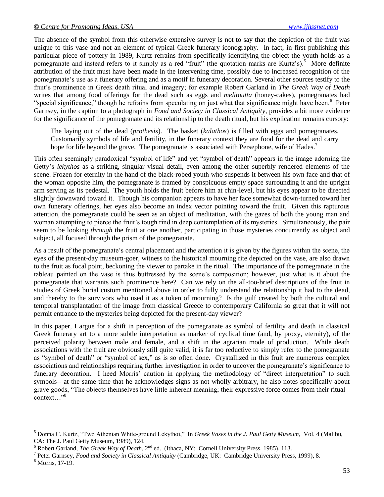The absence of the symbol from this otherwise extensive survey is not to say that the depiction of the fruit was unique to this vase and not an element of typical Greek funerary iconography. In fact, in first publishing this particular piece of pottery in 1989, Kurtz refrains from specifically identifying the object the youth holds as a pomegranate and instead refers to it simply as a red "fruit" (the quotation marks are Kurtz's).<sup>5</sup> More definite attribution of the fruit must have been made in the intervening time, possibly due to increased recognition of the pomegranate's use as a funerary offering and as a motif in funerary decoration. Several other sources testify to the fruit's prominence in Greek death ritual and imagery; for example Robert Garland in *The Greek Way of Death* writes that among food offerings for the dead such as eggs and *melitoutta* (honey-cakes), pomegranates had "special significance," though he refrains from speculating on just what that significance might have been.<sup>6</sup> Peter Garnsey, in the caption to a photograph in *Food and Society in Classical Antiquity*, provides a bit more evidence for the significance of the pomegranate and its relationship to the death ritual, but his explication remains cursory:

The laying out of the dead (*prothesis*). The basket (*kalathos*) is filled with eggs and pomegranates. Customarily symbols of life and fertility, in the funerary context they are food for the dead and carry hope for life beyond the grave. The pomegranate is associated with Persephone, wife of Hades.<sup>7</sup>

This often seemingly paradoxical "symbol of life" and yet "symbol of death" appears in the image adorning the Getty's *lekythos* as a striking, singular visual detail, even among the other superbly rendered elements of the scene. Frozen for eternity in the hand of the black-robed youth who suspends it between his own face and that of the woman opposite him, the pomegranate is framed by conspicuous empty space surrounding it and the upright arm serving as its pedestal. The youth holds the fruit before him at chin-level, but his eyes appear to be directed slightly downward toward it. Though his companion appears to have her face somewhat down-turned toward her own funerary offerings, her eyes also become an index vector pointing toward the fruit. Given this rapturous attention, the pomegranate could be seen as an object of meditation, with the gazes of both the young man and woman attempting to pierce the fruit's tough rind in deep contemplation of its mysteries. Simultaneously, the pair seem to be looking *through* the fruit at one another, participating in those mysteries concurrently as object and subject, all focused through the prism of the pomegranate.

As a result of the pomegranate's central placement and the attention it is given by the figures within the scene, the eyes of the present-day museum-goer, witness to the historical mourning rite depicted on the vase, are also drawn to the fruit as focal point, beckoning the viewer to partake in the ritual. The importance of the pomegranate in the tableau painted on the vase is thus buttressed by the scene's composition; however, just what is it about the pomegranate that warrants such prominence here? Can we rely on the all-too-brief descriptions of the fruit in studies of Greek burial custom mentioned above in order to fully understand the relationship it had to the dead, and thereby to the survivors who used it as a token of mourning? Is the gulf created by both the cultural and temporal transplantation of the image from classical Greece to contemporary California so great that it will not permit entrance to the mysteries being depicted for the present-day viewer?

In this paper, I argue for a shift in perception of the pomegranate as symbol of fertility and death in classical Greek funerary art to a more subtle interpretation as marker of cyclical time (and, by proxy, eternity), of the perceived polarity between male and female, and a shift in the agrarian mode of production. While death associations with the fruit are obviously still quite valid, it is far too reductive to simply refer to the pomegranate as "symbol of death" or "symbol of sex," as is so often done. Crystallized in this fruit are numerous complex associations and relationships requiring further investigation in order to uncover the pomegranate's significance to funerary decoration. I heed Morris' caution in applying the methodology of "direct interpretation" to such symbols-- at the same time that he acknowledges signs as not wholly arbitrary, he also notes specifically about grave goods, "The objects themselves have little inherent meaning; their expressive force comes from their ritual context…"<sup>8</sup>

<sup>&</sup>lt;sup>5</sup> Donna C. Kurtz, "Two Athenian White-ground Lekythoi," In *Greek Vases in the J. Paul Getty Museum*, Vol. 4 (Malibu, CA: The J. Paul Getty Museum, 1989), 124.

 $6$  Robert Garland, *The Greek Way of Death*,  $2^{nd}$  ed. (Ithaca, NY: Cornell University Press, 1985), 113.

<sup>7</sup> Peter Garnsey, *Food and Society in Classical Antiquity* (Cambridge, UK: Cambridge University Press, 1999), 8.

<sup>8</sup> Morris, 17-19.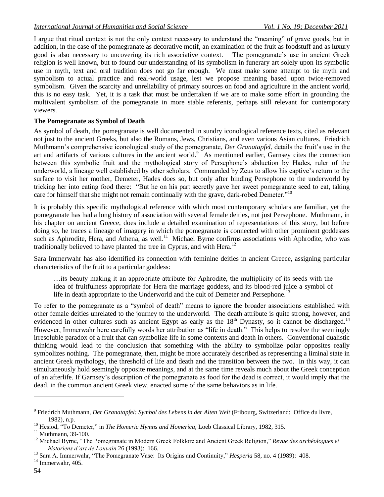I argue that ritual context is not the only context necessary to understand the "meaning" of grave goods, but in addition, in the case of the pomegranate as decorative motif, an examination of the fruit as foodstuff and as luxury good is also necessary to uncovering its rich associative context. The pomegranate's use in ancient Greek religion is well known, but to found our understanding of its symbolism in funerary art solely upon its symbolic use in myth, text and oral tradition does not go far enough. We must make some attempt to tie myth and symbolism to actual practice and real-world usage, lest we propose meaning based upon twice-removed symbolism. Given the scarcity and unreliability of primary sources on food and agriculture in the ancient world, this is no easy task. Yet, it is a task that must be undertaken if we are to make some effort in grounding the multivalent symbolism of the pomegranate in more stable referents, perhaps still relevant for contemporary viewers.

### **The Pomegranate as Symbol of Death**

As symbol of death, the pomegranate is well documented in sundry iconological reference texts, cited as relevant not just to the ancient Greeks, but also the Romans, Jews, Christians, and even various Asian cultures. Friedrich Muthmann's comprehensive iconological study of the pomegranate, *Der Granatapfel*, details the fruit's use in the art and artifacts of various cultures in the ancient world.<sup>9</sup> As mentioned earlier, Garnsey cites the connection between this symbolic fruit and the mythological story of Persephone's abduction by Hades, ruler of the underworld, a lineage well established by other scholars. Commanded by Zeus to allow his captive's return to the surface to visit her mother, Demeter, Hades does so, but only after binding Persephone to the underworld by tricking her into eating food there: "But he on his part secretly gave her sweet pomegranate seed to eat, taking care for himself that she might not remain continually with the grave, dark-robed Demeter."<sup>10</sup>

It is probably this specific mythological reference with which most contemporary scholars are familiar, yet the pomegranate has had a long history of association with several female deities, not just Persephone. Muthmann, in his chapter on ancient Greece, does include a detailed examination of representations of this story, but before doing so, he traces a lineage of imagery in which the pomegranate is connected with other prominent goddesses such as Aphrodite, Hera, and Athena, as well.<sup>11</sup> Michael Byrne confirms associations with Aphrodite, who was traditionally believed to have planted the tree in Cyprus, and with Hera.<sup>12</sup>

Sara Immerwahr has also identified its connection with feminine deities in ancient Greece, assigning particular characteristics of the fruit to a particular goddess:

…its beauty making it an appropriate attribute for Aphrodite, the multiplicity of its seeds with the idea of fruitfulness appropriate for Hera the marriage goddess, and its blood-red juice a symbol of life in death appropriate to the Underworld and the cult of Demeter and Persephone.<sup>13</sup>

To refer to the pomegranate as a "symbol of death" means to ignore the broader associations established with other female deities unrelated to the journey to the underworld. The death attribute is quite strong, however, and evidenced in other cultures such as ancient Egypt as early as the  $18<sup>th</sup>$  Dynasty, so it cannot be discharged.<sup>14</sup> However, Immerwahr here carefully words her attribution as "life in death." This helps to resolve the seemingly irresoluble paradox of a fruit that can symbolize life in some contexts and death in others. Conventional dualistic thinking would lead to the conclusion that something with the ability to symbolize polar opposites really symbolizes nothing. The pomegranate, then, might be more accurately described as representing a liminal state in ancient Greek mythology, the threshold of life and death and the transition between the two. In this way, it can simultaneously hold seemingly opposite meanings, and at the same time reveals much about the Greek conception of an afterlife. If Garnsey's description of the pomegranate as food for the dead is correct, it would imply that the dead, in the common ancient Greek view, enacted some of the same behaviors as in life.

<sup>&</sup>lt;sup>9</sup> Friedrich Muthmann, *Der Granatapfel: Symbol des Lebens in der Alten Welt* (Fribourg, Switzerland: Office du livre, 1982), n.p.

<sup>&</sup>lt;sup>10</sup> Hesiod, "To Demeter," in *The Homeric Hymns and Homerica*, Loeb Classical Library, 1982, 315.

 $11$  Muthmann, 39-100.

<sup>&</sup>lt;sup>12</sup> Michael Byrne, "The Pomegranate in Modern Greek Folklore and Ancient Greek Religion," *Revue des archéologues et historiens d'art de Louvain* 26 (1993): 166.

<sup>&</sup>lt;sup>13</sup> Sara A. Immerwahr, "The Pomegranate Vase: Its Origins and Continuity," *Hesperia* 58, no. 4 (1989): 408.

 $14$  Immerwahr, 405.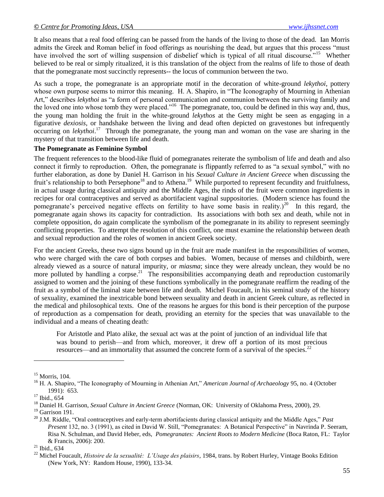It also means that a real food offering can be passed from the hands of the living to those of the dead. Ian Morris admits the Greek and Roman belief in food offerings as nourishing the dead, but argues that this process "must have involved the sort of willing suspension of disbelief which is typical of all ritual discourse."<sup>15</sup> Whether believed to be real or simply ritualized, it is this translation of the object from the realms of life to those of death that the pomegranate most succinctly represents-- the locus of communion between the two.

As such a trope, the pomegranate is an appropriate motif in the decoration of white-ground *lekythoi*, pottery whose own purpose seems to mirror this meaning. H. A. Shapiro, in "The Iconography of Mourning in Athenian Art," describes *lekythoi* as "a form of personal communication and communion between the surviving family and the loved one into whose tomb they were placed."<sup>16</sup> The pomegranate, too, could be defined in this way and, thus, the young man holding the fruit in the white-ground *lekythos* at the Getty might be seen as engaging in a figurative *dexiosis*, or handshake between the living and dead often depicted on gravestones but infrequently occurring on *lekythoi*. 17 Through the pomegranate, the young man and woman on the vase are sharing in the mystery of that transition between life and death.

#### **The Pomegranate as Feminine Symbol**

The frequent references to the blood-like fluid of pomegranates reiterate the symbolism of life and death and also connect it firmly to reproduction. Often, the pomegranate is flippantly referred to as "a sexual symbol," with no further elaboration, as done by Daniel H. Garrison in his *Sexual Culture in Ancient Greece* when discussing the fruit's relationship to both Persephone<sup>18</sup> and to Athena.<sup>19</sup> While purported to represent fecundity and fruitfulness, in actual usage during classical antiquity and the Middle Ages, the rinds of the fruit were common ingredients in recipes for oral contraceptives and served as abortifacient vaginal suppositories. (Modern science has found the pomegranate's perceived negative effects on fertility to have some basis in reality.)<sup>20</sup> In this regard, the pomegranate again shows its capacity for contradiction. Its associations with both sex and death, while not in complete opposition, do again complicate the symbolism of the pomegranate in its ability to represent seemingly conflicting properties. To attempt the resolution of this conflict, one must examine the relationship between death and sexual reproduction and the roles of women in ancient Greek society.

For the ancient Greeks, these two signs bound up in the fruit are made manifest in the responsibilities of women, who were charged with the care of both corpses and babies. Women, because of menses and childbirth, were already viewed as a source of natural impurity, or *miasma*; since they were already unclean, they would be no more polluted by handling a corpse.<sup>21</sup> The responsibilities accompanying death and reproduction customarily assigned to women and the joining of these functions symbolically in the pomegranate reaffirm the reading of the fruit as a symbol of the liminal state between life and death. Michel Foucault, in his seminal study of the history of sexuality, examined the inextricable bond between sexuality and death in ancient Greek culture, as reflected in the medical and philosophical texts. One of the reasons he argues for this bond is their perception of the purpose of reproduction as a compensation for death, providing an eternity for the species that was unavailable to the individual and a means of cheating death:

For Aristotle and Plato alike, the sexual act was at the point of junction of an individual life that was bound to perish—and from which, moreover, it drew off a portion of its most precious resources—and an immortality that assumed the concrete form of a survival of the species.<sup>22</sup>

 $15$  Morris, 104.

<sup>&</sup>lt;sup>16</sup> H. A. Shapiro, "The Iconography of Mourning in Athenian Art," *American Journal of Archaeology* 95, no. 4 (October 1991): 653.

<sup>&</sup>lt;sup>17</sup> Ibid., 654

<sup>18</sup> Daniel H. Garrison, *Sexual Culture in Ancient Greece* (Norman, OK: University of Oklahoma Press, 2000), 29.

 $19$  Garrison 191.

 $^{20}$  J.M. Riddle, "Oral contraceptives and early-term abortifacients during classical antiquity and the Middle Ages," *Past Present* 132, no. 3 (1991), as cited in David W. Still, "Pomegranates: A Botanical Perspective" in Navrinda P. Seeram, Risa N. Schulman, and David Heber, eds, *Pomegranates: Ancient Roots to Modern Medicine* (Boca Raton, FL: Taylor & Francis, 2006): 200.

 $21$  Ibid., 634

<sup>22</sup> Michel Foucault, *Histoire de la sexualité: L'Usage des plaisirs*, 1984, trans. by Robert Hurley, Vintage Books Edition (New York, NY: Random House, 1990), 133-34.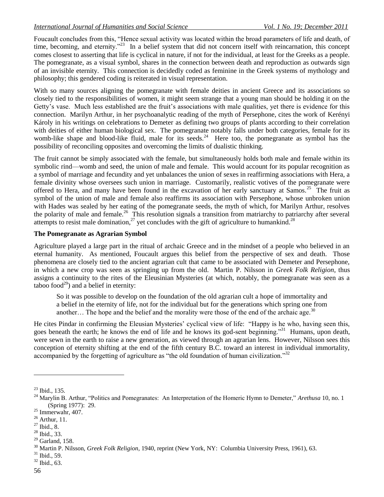Foucault concludes from this, "Hence sexual activity was located within the broad parameters of life and death, of time, becoming, and eternity."<sup>23</sup> In a belief system that did not concern itself with reincarnation, this concept comes closest to asserting that life is cyclical in nature, if not for the individual, at least for the Greeks as a people. The pomegranate, as a visual symbol, shares in the connection between death and reproduction as outwards sign of an invisible eternity. This connection is decidedly coded as feminine in the Greek systems of mythology and philosophy; this gendered coding is reiterated in visual representation.

With so many sources aligning the pomegranate with female deities in ancient Greece and its associations so closely tied to the responsibilities of women, it might seem strange that a young man should be holding it on the Getty's vase. Much less established are the fruit's associations with male qualities, yet there is evidence for this connection. Marilyn Arthur, in her psychoanalytic reading of the myth of Persephone, cites the work of Kerényi Károly in his writings on celebrations to Demeter as defining two groups of plants according to their correlation with deities of either human biological sex. The pomegranate notably falls under both categories, female for its womb-like shape and blood-like fluid, male for its seeds.<sup>24</sup> Here too, the pomegranate as symbol has the possibility of reconciling opposites and overcoming the limits of dualistic thinking.

The fruit cannot be simply associated with the female, but simultaneously holds both male and female within its symbolic rind—womb and seed, the union of male and female. This would account for its popular recognition as a symbol of marriage and fecundity and yet unbalances the union of sexes in reaffirming associations with Hera, a female divinity whose oversees such union in marriage. Customarily, realistic votives of the pomegranate were offered to Hera, and many have been found in the excavation of her early sanctuary at Samos.<sup>25</sup> The fruit as symbol of the union of male and female also reaffirms its association with Persephone, whose unbroken union with Hades was sealed by her eating of the pomegranate seeds, the myth of which, for Marilyn Arthur, resolves the polarity of male and female.<sup>26</sup> This resolution signals a transition from matriarchy to patriarchy after several attempts to resist male domination,<sup>27</sup> yet concludes with the gift of agriculture to humankind.<sup>28</sup>

### **The Pomegranate as Agrarian Symbol**

Agriculture played a large part in the ritual of archaic Greece and in the mindset of a people who believed in an eternal humanity. As mentioned, Foucault argues this belief from the perspective of sex and death. Those phenomena are closely tied to the ancient agrarian cult that came to be associated with Demeter and Persephone, in which a new crop was seen as springing up from the old. Martin P. Nilsson in *Greek Folk Religion*, thus assigns a continuity to the rites of the Eleusinian Mysteries (at which, notably, the pomegranate was seen as a taboo food $^{29}$ ) and a belief in eternity:

So it was possible to develop on the foundation of the old agrarian cult a hope of immortality and a belief in the eternity of life, not for the individual but for the generations which spring one from another... The hope and the belief and the morality were those of the end of the archaic age.<sup>30</sup>

He cites Pindar in confirming the Eleusian Mysteries' cyclical view of life: "Happy is he who, having seen this, goes beneath the earth; he knows the end of life and he knows its god-sent beginning."<sup>31</sup> Humans, upon death, were sewn in the earth to raise a new generation, as viewed through an agrarian lens. However, Nilsson sees this conception of eternity shifting at the end of the fifth century B.C. toward an interest in individual immortality, accompanied by the forgetting of agriculture as "the old foundation of human civilization." $32$ 

<sup>23</sup> Ibid., 135.

<sup>&</sup>lt;sup>24</sup> Marylin B. Arthur, "Politics and Pomegranates: An Interpretation of the Homeric Hymn to Demeter," *Arethusa* 10, no. 1 (Spring 1977): 29.

<sup>&</sup>lt;sup>25</sup> Immerwahr, 407.

<sup>26</sup> Arthur, 11.

 $27 \overline{\text{Ibid., 8}}$ .

<sup>28</sup> Ibid., 33.

 $29$  Garland, 158.

<sup>30</sup> Martin P. Nilsson, *Greek Folk Religion*, 1940, reprint (New York, NY: Columbia University Press, 1961), 63.

<sup>31</sup> Ibid., 59.

<sup>32</sup> Ibid., 63.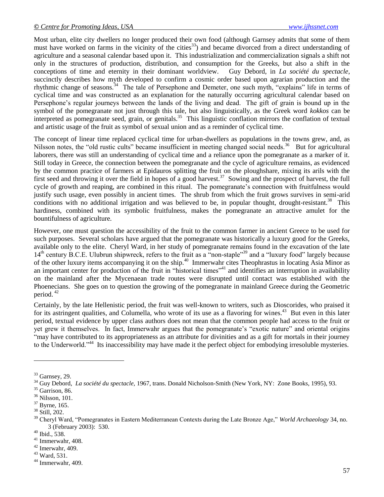Most urban, elite city dwellers no longer produced their own food (although Garnsey admits that some of them must have worked on farms in the vicinity of the cities<sup>33</sup>) and became divorced from a direct understanding of agriculture and a seasonal calendar based upon it. This industrialization and commercialization signals a shift not only in the structures of production, distribution, and consumption for the Greeks, but also a shift in the conceptions of time and eternity in their dominant worldview. Guy Debord, in *La société du spectacle*, succinctly describes how myth developed to confirm a cosmic order based upon agrarian production and the rhythmic change of seasons.<sup>34</sup> The tale of Persephone and Demeter, one such myth, "explains" life in terms of cyclical time and was constructed as an explanation for the naturally occurring agricultural calendar based on Persephone's regular journeys between the lands of the living and dead. The gift of grain is bound up in the symbol of the pomegranate not just through this tale, but also linguistically, as the Greek word *kokkos* can be interpreted as pomegranate seed, grain, or genitals.<sup>35</sup> This linguistic conflation mirrors the conflation of textual and artistic usage of the fruit as symbol of sexual union and as a reminder of cyclical time.

The concept of linear time replaced cyclical time for urban-dwellers as populations in the towns grew, and, as Nilsson notes, the "old rustic cults" became insufficient in meeting changed social needs.<sup>36</sup> But for agricultural laborers, there was still an understanding of cyclical time and a reliance upon the pomegranate as a marker of it. Still today in Greece, the connection between the pomegranate and the cycle of agriculture remains, as evidenced by the common practice of farmers at Epidauros splitting the fruit on the ploughshare, mixing its arils with the first seed and throwing it over the field in hopes of a good harvest.<sup>37</sup> Sowing and the prospect of harvest, the full cycle of growth and reaping, are combined in this ritual. The pomegranate's connection with fruitfulness would justify such usage, even possibly in ancient times. The shrub from which the fruit grows survives in semi-arid conditions with no additional irrigation and was believed to be, in popular thought, drought-resistant.<sup>38</sup> This hardiness, combined with its symbolic fruitfulness, makes the pomegranate an attractive amulet for the bountifulness of agriculture.

However, one must question the accessibility of the fruit to the common farmer in ancient Greece to be used for such purposes. Several scholars have argued that the pomegranate was historically a luxury good for the Greeks, available only to the elite. Cheryl Ward, in her study of pomegranate remains found in the excavation of the late 14<sup>th</sup> century B.C.E. Ulubrun shipwreck, refers to the fruit as a "non-staple"<sup>39</sup> and a "luxury food" largely because of the other luxury items accompanying it on the ship.<sup>40</sup> Immerwahr cites Theophrastus in locating Asia Minor as an important center for production of the fruit in "historical times"<sup>41</sup> and identifies an interruption in availability on the mainland after the Mycenaean trade routes were disrupted until contact was established with the Phoenecians. She goes on to question the growing of the pomegranate in mainland Greece during the Geometric period.<sup>42</sup>

Certainly, by the late Hellenistic period, the fruit was well-known to writers, such as Dioscorides, who praised it for its astringent qualities, and Columella, who wrote of its use as a flavoring for wines.<sup>43</sup> But even in this later period, textual evidence by upper class authors does not mean that the common people had access to the fruit or yet grew it themselves. In fact, Immerwahr argues that the pomegranate's "exotic nature" and oriental origins ―may have contributed to its appropriateness as an attribute for divinities and as a gift for mortals in their journey to the Underworld."<sup>44</sup> Its inaccessibility may have made it the perfect object for embodying irresoluble mysteries.

 $33$  Garnsey, 29.

<sup>34</sup> Guy Debord, *La société du spectacle,* 1967, trans. Donald Nicholson-Smith (New York, NY: Zone Books, 1995), 93.

<sup>&</sup>lt;sup>35</sup> Garrison, 86.

<sup>36</sup> Nilsson, 101.

<sup>37</sup> Byrne, 165.

<sup>38</sup> Still, 202.

<sup>&</sup>lt;sup>39</sup> Cheryl Ward, "Pomegranates in Eastern Mediterranean Contexts during the Late Bronze Age," *World Archaeology* 34, no. 3 (February 2003): 530.

<sup>40</sup> Ibid., 538.

<sup>41</sup> Immerwahr, 408.

 $42$  Imerwahr, 409.

<sup>43</sup> Ward, 531.

<sup>44</sup> Immerwahr, 409.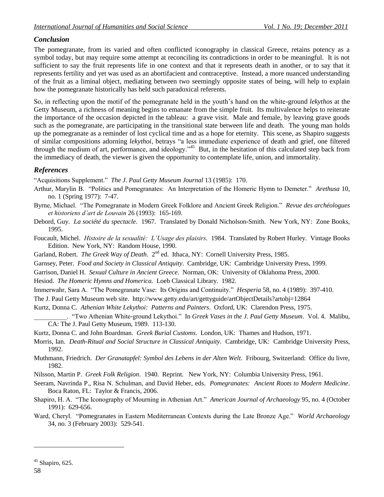# *Conclusion*

The pomegranate, from its varied and often conflicted iconography in classical Greece, retains potency as a symbol today, but may require some attempt at reconciling its contradictions in order to be meaningful. It is not sufficient to say the fruit represents life in one context and that it represents death in another, or to say that it represents fertility and yet was used as an abortifacient and contraceptive. Instead, a more nuanced understanding of the fruit as a liminal object, mediating between two seemingly opposite states of being, will help to explain how the pomegranate historically has held such paradoxical referents.

So, in reflecting upon the motif of the pomegranate held in the youth's hand on the white-ground *lekythos* at the Getty Museum, a richness of meaning begins to emanate from the simple fruit. Its multivalence helps to reiterate the importance of the occasion depicted in the tableau: a grave visit. Male and female, by leaving grave goods such as the pomegranate, are participating in the transitional state between life and death. The young man holds up the pomegranate as a reminder of lost cyclical time and as a hope for eternity. This scene, as Shapiro suggests of similar compositions adorning *lekythoi*, betrays "a less immediate experience of death and grief, one filtered through the medium of art, performance, and ideology."<sup>45</sup> But, in the hesitation of this calculated step back from the immediacy of death, the viewer is given the opportunity to contemplate life, union, and immortality.

# *References*

―Acquisitions Supplement.‖ *The J. Paul Getty Museum Journal* 13 (1985): 170.

- Arthur, Marylin B. "Politics and Pomegranates: An Interpretation of the Homeric Hymn to Demeter." *Arethusa* 10, no. 1 (Spring 1977): 7-47.
- Byrne, Michael. "The Pomegranate in Modern Greek Folklore and Ancient Greek Religion." *Revue des archéologues et historiens d'art de Louvain* 26 (1993): 165-169.
- Debord, Guy. *La société du spectacle.* 1967. Translated by Donald Nicholson-Smith. New York, NY: Zone Books, 1995.
- Foucault, Michel. *Histoire de la sexualité: L'Usage des plaisirs*. 1984. Translated by Robert Hurley. Vintage Books Edition. New York, NY: Random House, 1990.
- Garland, Robert. *The Greek Way of Death.* 2<sup>nd</sup> ed. Ithaca, NY: Cornell University Press, 1985.
- Garnsey, Peter. *Food and Society in Classical Antiquity*. Cambridge, UK: Cambridge University Press, 1999.
- Garrison, Daniel H. *Sexual Culture in Ancient Greece*. Norman, OK: University of Oklahoma Press, 2000.
- Hesiod. *The Homeric Hymns and Homerica.* Loeb Classical Library. 1982.
- Immerwahr, Sara A. "The Pomegranate Vase: Its Origins and Continuity." *Hesperia* 58, no. 4 (1989): 397-410.

The J. Paul Getty Museum web site. http://www.getty.edu/art/gettyguide/artObjectDetails?artobj=12864

Kurtz, Donna C. *Athenian White Lekythoi: Patterns and Painters*. Oxford, UK: Clarendon Press, 1975.

- \_\_\_\_\_\_\_\_\_\_. ―Two Athenian White-ground Lekythoi.‖ In *Greek Vases in the J. Paul Getty Museum*. Vol. 4. Malibu, CA: The J. Paul Getty Museum, 1989. 113-130.
- Kurtz, Donna C. and John Boardman. *Greek Burial Customs*. London, UK: Thames and Hudson, 1971.
- Morris, Ian. *Death-Ritual and Social Structure in Classical Antiquity*. Cambridge, UK: Cambridge University Press, 1992.
- Muthmann, Friedrich. *Der Granatapfel: Symbol des Lebens in der Alten Welt*. Fribourg, Switzerland: Office du livre, 1982.
- Nilsson, Martin P. *Greek Folk Religion*. 1940. Reprint. New York, NY: Columbia University Press, 1961.
- Seeram, Navrinda P., Risa N. Schulman, and David Heber, eds. *Pomegranates: Ancient Roots to Modern Medicine*. Boca Raton, FL: Taylor & Francis, 2006.
- Shapiro, H. A. "The Iconography of Mourning in Athenian Art." *American Journal of Archaeology* 95, no. 4 (October 1991): 629-656.
- Ward, Cheryl. "Pomegranates in Eastern Mediterranean Contexts during the Late Bronze Age." *World Archaeology* 34, no. 3 (February 2003): 529-541.